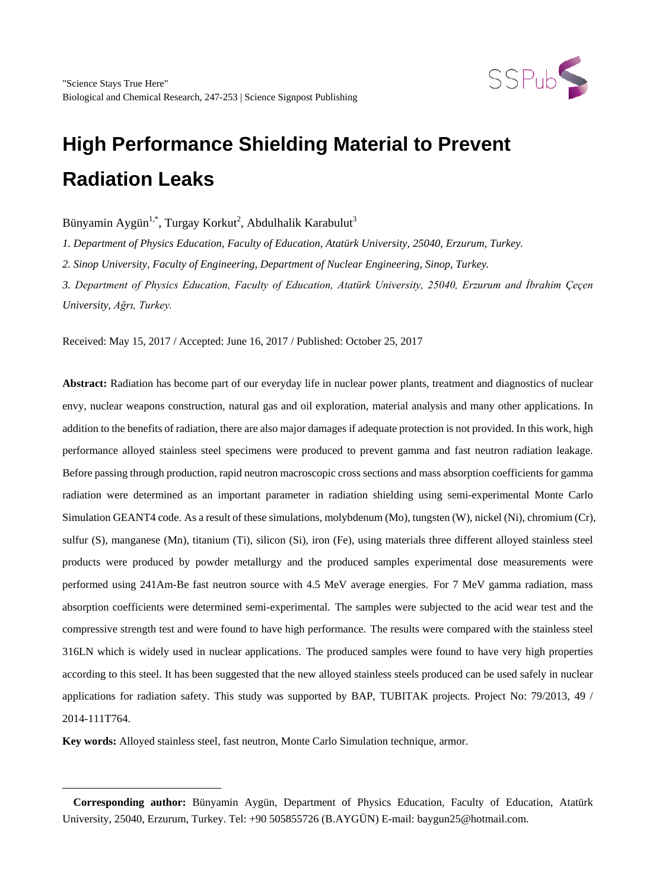

Bünyamin Aygün $^{1,*}$ , Turgay Korkut $^2$ , Abdulhalik Karabulut $^3$ 

*1. Department of Physics Education, Faculty of Education, Atatürk University, 25040, Erzurum, Turkey.*

*2. Sinop University, Faculty of Engineering, Department of Nuclear Engineering, Sinop, Turkey.*

*3. Department of Physics Education, Faculty of Education, Atatürk University, 25040, Erzurum and İbrahim Çeçen University, Ağrı, Turkey.*

Received: May 15, 2017 / Accepted: June 16, 2017 / Published: October 25, 2017

**Abstract:** Radiation has become part of our everyday life in nuclear power plants, treatment and diagnostics of nuclear envy, nuclear weapons construction, natural gas and oil exploration, material analysis and many other applications. In addition to the benefits of radiation, there are also major damages if adequate protection is not provided. In this work, high performance alloyed stainless steel specimens were produced to prevent gamma and fast neutron radiation leakage. Before passing through production, rapid neutron macroscopic cross sections and mass absorption coefficients for gamma radiation were determined as an important parameter in radiation shielding using semi-experimental Monte Carlo Simulation GEANT4 code. As a result of these simulations, molybdenum (Mo), tungsten (W), nickel (Ni), chromium (Cr), sulfur (S), manganese (Mn), titanium (Ti), silicon (Si), iron (Fe), using materials three different alloyed stainless steel products were produced by powder metallurgy and the produced samples experimental dose measurements were performed using 241Am-Be fast neutron source with 4.5 MeV average energies. For 7 MeV gamma radiation, mass absorption coefficients were determined semi-experimental. The samples were subjected to the acid wear test and the compressive strength test and were found to have high performance. The results were compared with the stainless steel 316LN which is widely used in nuclear applications. The produced samples were found to have very high properties according to this steel. It has been suggested that the new alloyed stainless steels produced can be used safely in nuclear applications for radiation safety. This study was supported by BAP, TUBITAK projects. Project No: 79/2013, 49 / 2014-111T764.

**Key words:** Alloyed stainless steel, fast neutron, Monte Carlo Simulation technique, armor.

 $\overline{a}$ 

<span id="page-0-0"></span>**Corresponding author:** Bünyamin Aygün, Department of Physics Education, Faculty of Education, Atatürk University, 25040, Erzurum, Turkey. Tel: +90 505855726 (B.AYGÜN) E-mail: baygun25@hotmail.com.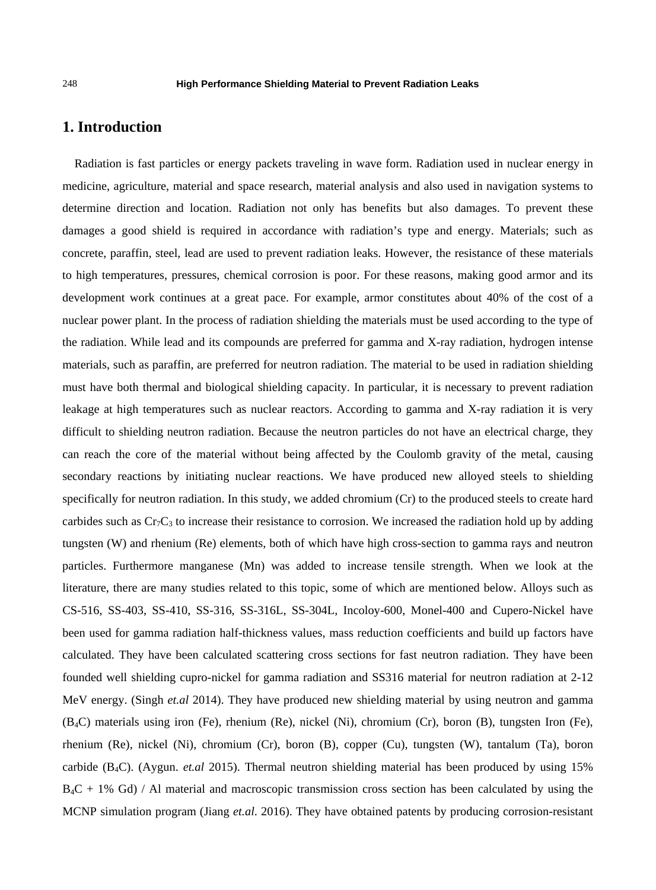# **1. Introduction**

Radiation is fast particles or energy packets traveling in wave form. Radiation used in nuclear energy in medicine, agriculture, material and space research, material analysis and also used in navigation systems to determine direction and location. Radiation not only has benefits but also damages. To prevent these damages a good shield is required in accordance with radiation's type and energy. Materials; such as concrete, paraffin, steel, lead are used to prevent radiation leaks. However, the resistance of these materials to high temperatures, pressures, chemical corrosion is poor. For these reasons, making good armor and its development work continues at a great pace. For example, armor constitutes about 40% of the cost of a nuclear power plant. In the process of radiation shielding the materials must be used according to the type of the radiation. While lead and its compounds are preferred for gamma and X-ray radiation, hydrogen intense materials, such as paraffin, are preferred for neutron radiation. The material to be used in radiation shielding must have both thermal and biological shielding capacity. In particular, it is necessary to prevent radiation leakage at high temperatures such as nuclear reactors. According to gamma and X-ray radiation it is very difficult to shielding neutron radiation. Because the neutron particles do not have an electrical charge, they can reach the core of the material without being affected by the Coulomb gravity of the metal, causing secondary reactions by initiating nuclear reactions. We have produced new alloyed steels to shielding specifically for neutron radiation. In this study, we added chromium (Cr) to the produced steels to create hard carbides such as  $Cr_7C_3$  to increase their resistance to corrosion. We increased the radiation hold up by adding tungsten (W) and rhenium (Re) elements, both of which have high cross-section to gamma rays and neutron particles. Furthermore manganese (Mn) was added to increase tensile strength. When we look at the literature, there are many studies related to this topic, some of which are mentioned below. Alloys such as CS-516, SS-403, SS-410, SS-316, SS-316L, SS-304L, Incoloy-600, Monel-400 and Cupero-Nickel have been used for gamma radiation half-thickness values, mass reduction coefficients and build up factors have calculated. They have been calculated scattering cross sections for fast neutron radiation. They have been founded well shielding cupro-nickel for gamma radiation and SS316 material for neutron radiation at 2-12 MeV energy. (Singh *et.al* 2014). They have produced new shielding material by using neutron and gamma (B4C) materials using iron (Fe), rhenium (Re), nickel (Ni), chromium (Cr), boron (B), tungsten Iron (Fe), rhenium (Re), nickel (Ni), chromium (Cr), boron (B), copper (Cu), tungsten (W), tantalum (Ta), boron carbide (B4C). (Aygun. *et.al* 2015). Thermal neutron shielding material has been produced by using 15%  $B_4C + 1\%$  Gd) / Al material and macroscopic transmission cross section has been calculated by using the MCNP simulation program (Jiang *et.al*. 2016). They have obtained patents by producing corrosion-resistant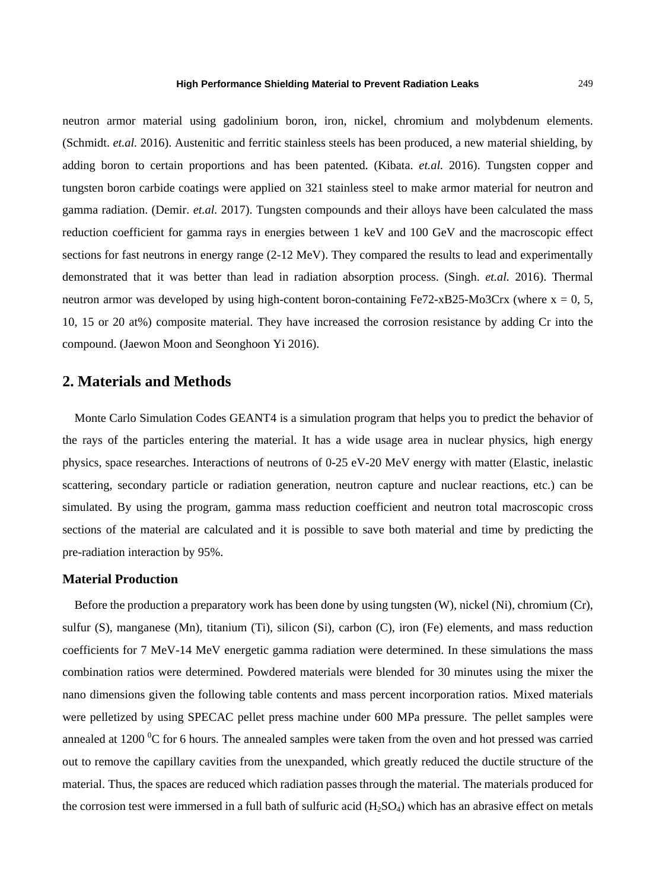neutron armor material using gadolinium boron, iron, nickel, chromium and molybdenum elements. (Schmidt. *et.al.* 2016). Austenitic and ferritic stainless steels has been produced, a new material shielding, by adding boron to certain proportions and has been patented. (Kibata. *et.al.* 2016). Tungsten copper and tungsten boron carbide coatings were applied on 321 stainless steel to make armor material for neutron and gamma radiation. (Demir. *et.al.* 2017). Tungsten compounds and their alloys have been calculated the mass reduction coefficient for gamma rays in energies between 1 keV and 100 GeV and the macroscopic effect sections for fast neutrons in energy range (2-12 MeV). They compared the results to lead and experimentally demonstrated that it was better than lead in radiation absorption process. (Singh. *et.al.* 2016). Thermal neutron armor was developed by using high-content boron-containing Fe72-xB25-Mo3Crx (where  $x = 0, 5$ , 10, 15 or 20 at%) composite material. They have increased the corrosion resistance by adding Cr into the compound. (Jaewon Moon and Seonghoon Yi 2016).

## **2. Materials and Methods**

Monte Carlo Simulation Codes GEANT4 is a simulation program that helps you to predict the behavior of the rays of the particles entering the material. It has a wide usage area in nuclear physics, high energy physics, space researches. Interactions of neutrons of 0-25 eV-20 MeV energy with matter (Elastic, inelastic scattering, secondary particle or radiation generation, neutron capture and nuclear reactions, etc.) can be simulated. By using the program, gamma mass reduction coefficient and neutron total macroscopic cross sections of the material are calculated and it is possible to save both material and time by predicting the pre-radiation interaction by 95%.

## **Material Production**

Before the production a preparatory work has been done by using tungsten (W), nickel (Ni), chromium (Cr), sulfur (S), manganese (Mn), titanium (Ti), silicon (Si), carbon (C), iron (Fe) elements, and mass reduction coefficients for 7 MeV-14 MeV energetic gamma radiation were determined. In these simulations the mass combination ratios were determined. Powdered materials were blended for 30 minutes using the mixer the nano dimensions given the following table contents and mass percent incorporation ratios. Mixed materials were pelletized by using SPECAC pellet press machine under 600 MPa pressure. The pellet samples were annealed at 1200  $\rm{^0C}$  for 6 hours. The annealed samples were taken from the oven and hot pressed was carried out to remove the capillary cavities from the unexpanded, which greatly reduced the ductile structure of the material. Thus, the spaces are reduced which radiation passes through the material. The materials produced for the corrosion test were immersed in a full bath of sulfuric acid  $(H_2SO_4)$  which has an abrasive effect on metals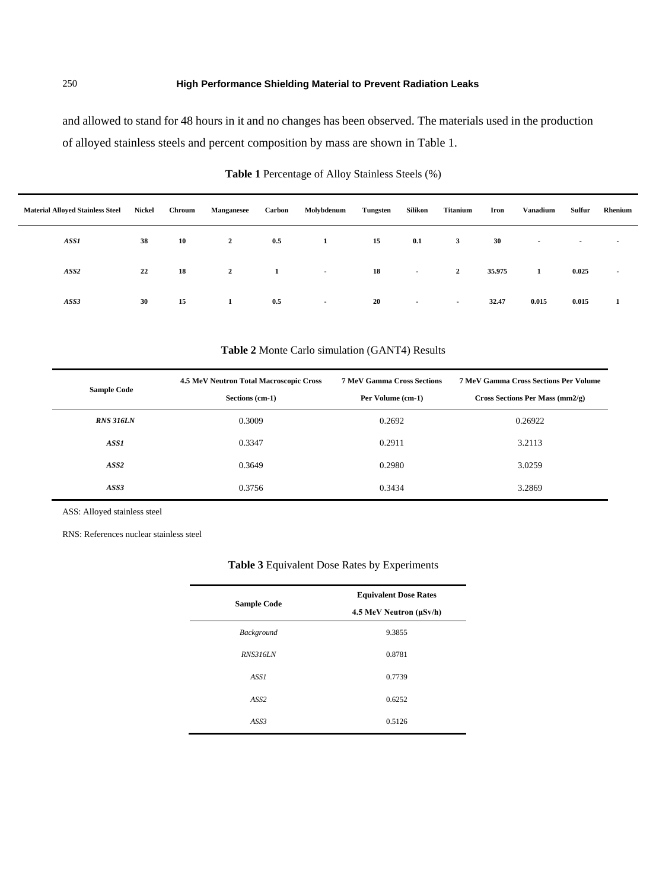and allowed to stand for 48 hours in it and no changes has been observed. The materials used in the production of alloyed stainless steels and percent composition by mass are shown in Table 1.

| <b>Material Alloved Stainless Steel</b> | Nickel | Chroum | <b>Manganesee</b> | Carbon | Molybdenum | Tungsten | Silikon | Titanium     | Iron   | Vanadium       | Sulfur | Rhenium                  |
|-----------------------------------------|--------|--------|-------------------|--------|------------|----------|---------|--------------|--------|----------------|--------|--------------------------|
| ASS1                                    | 38     | 10     | $\mathbf{2}$      | 0.5    |            | 15       | 0.1     | 3            | 30     | $\blacksquare$ | $\,$   | $\overline{\phantom{a}}$ |
| ASS2                                    | 22     | 18     | $\mathbf{2}$      | -1     | $\sim$     | 18       | $\sim$  | $\mathbf{2}$ | 35.975 | 1              | 0.025  | $\sim$                   |
| ASS3                                    | 30     | 15     |                   | 0.5    | $\sim$     | 20       | $\sim$  | $\sim$       | 32.47  | 0.015          | 0.015  | 1                        |

## **Table 1** Percentage of Alloy Stainless Steels (%)

## **Table 2** Monte Carlo simulation (GANT4) Results

|                    | 4.5 MeV Neutron Total Macroscopic Cross | <b>7 MeV Gamma Cross Sections</b> | <b>7 MeV Gamma Cross Sections Per Volume</b> |  |  |  |
|--------------------|-----------------------------------------|-----------------------------------|----------------------------------------------|--|--|--|
| <b>Sample Code</b> | Sections (cm-1)                         | Per Volume (cm-1)                 | Cross Sections Per Mass (mm2/g)              |  |  |  |
| <b>RNS 316LN</b>   | 0.3009                                  | 0.2692                            | 0.26922                                      |  |  |  |
| ASS1               | 0.3347                                  | 0.2911                            | 3.2113                                       |  |  |  |
| ASS <sub>2</sub>   | 0.3649                                  | 0.2980                            | 3.0259                                       |  |  |  |
| ASS3               | 0.3756                                  | 0.3434                            | 3.2869                                       |  |  |  |

ASS: Alloyed stainless steel

RNS: References nuclear stainless steel

 $\blacksquare$ 

#### **Table 3** Equivalent Dose Rates by Experiments

|                    | <b>Equivalent Dose Rates</b> |  |  |  |  |
|--------------------|------------------------------|--|--|--|--|
| <b>Sample Code</b> | 4.5 MeV Neutron (µSv/h)      |  |  |  |  |
| Background         | 9.3855                       |  |  |  |  |
| <b>RNS316LN</b>    | 0.8781                       |  |  |  |  |
| ASS1               | 0.7739                       |  |  |  |  |
| ASS <sub>2</sub>   | 0.6252                       |  |  |  |  |
| ASS3               | 0.5126                       |  |  |  |  |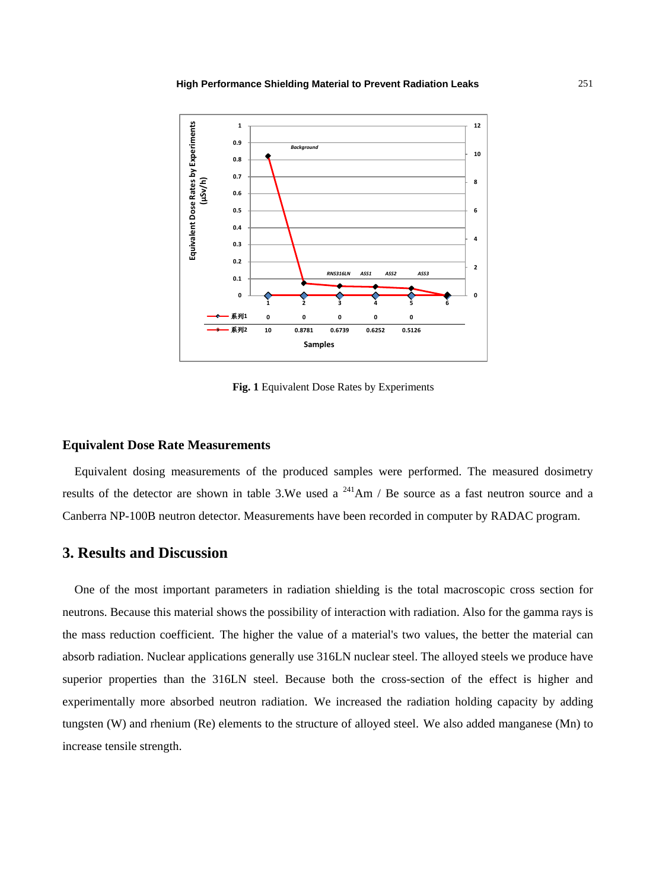

**Fig. 1** Equivalent Dose Rates by Experiments

#### **Equivalent Dose Rate Measurements**

Equivalent dosing measurements of the produced samples were performed. The measured dosimetry results of the detector are shown in table 3.We used a  $^{241}$ Am / Be source as a fast neutron source and a Canberra NP-100B neutron detector. Measurements have been recorded in computer by RADAC program.

# **3. Results and Discussion**

One of the most important parameters in radiation shielding is the total macroscopic cross section for neutrons. Because this material shows the possibility of interaction with radiation. Also for the gamma rays is the mass reduction coefficient. The higher the value of a material's two values, the better the material can absorb radiation. Nuclear applications generally use 316LN nuclear steel. The alloyed steels we produce have superior properties than the 316LN steel. Because both the cross-section of the effect is higher and experimentally more absorbed neutron radiation. We increased the radiation holding capacity by adding tungsten (W) and rhenium (Re) elements to the structure of alloyed steel. We also added manganese (Mn) to increase tensile strength.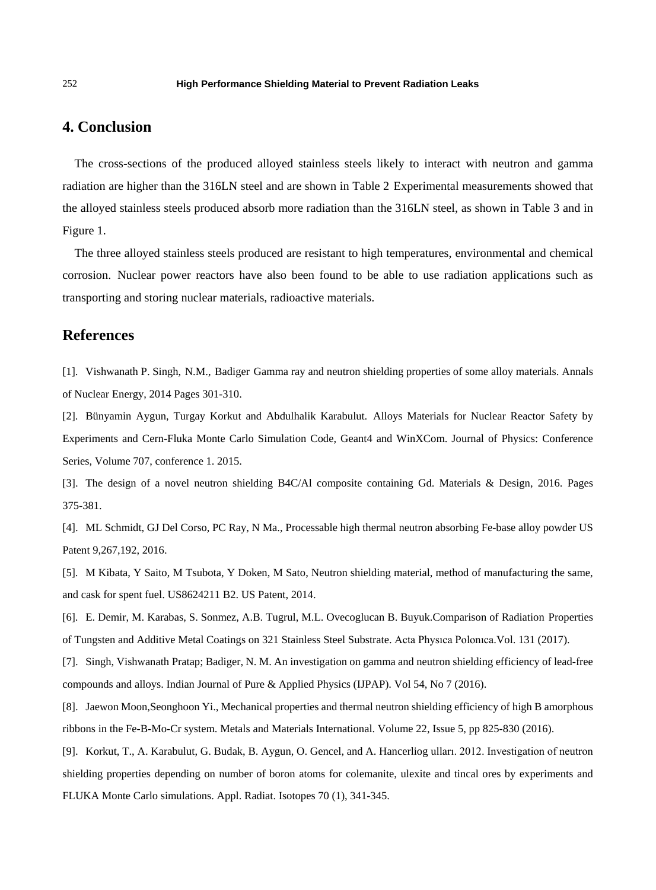# **4. Conclusion**

The cross-sections of the produced alloyed stainless steels likely to interact with neutron and gamma radiation are higher than the 316LN steel and are shown in Table 2 Experimental measurements showed that the alloyed stainless steels produced absorb more radiation than the 316LN steel, as shown in Table 3 and in Figure 1.

The three alloyed stainless steels produced are resistant to high temperatures, environmental and chemical corrosion. Nuclear power reactors have also been found to be able to use radiation applications such as transporting and storing nuclear materials, radioactive materials.

## **References**

[1]. Vishwanath P. Singh, N.M., Badiger Gamma ray and neutron shielding properties of some alloy materials. Annals of Nuclear Energy, 2014 Pages 301-310.

[2]. Bünyamin Aygun, Turgay Korkut and Abdulhalik Karabulut. Alloys Materials for Nuclear Reactor Safety by Experiments and Cern-Fluka Monte Carlo Simulation Code, Geant4 and WinXCom. Journal of Physics: Conference Series, Volume 707, conference 1. 2015.

[3]. The design of a novel neutron shielding B4C/Al composite containing Gd. Materials & Design, 2016. Pages 375-381.

[4]. ML Schmidt, GJ Del Corso, PC Ray, N Ma., Processable high thermal neutron absorbing Fe-base alloy powder US Patent 9,267,192, 2016.

[5]. M Kibata, Y Saito, M Tsubota, Y Doken, M Sato, Neutron shielding material, method of manufacturing the same, and cask for spent fuel. US8624211 B2. US Patent, 2014.

[6]. E. Demir, M. Karabas, S. Sonmez, A.B. Tugrul, M.L. Ovecoglucan B. Buyuk.Comparison of Radiation Properties of Tungsten and Additive Metal Coatings on 321 Stainless Steel Substrate. Acta Physıca Polonıca.Vol. 131 (2017).

[7]. Singh, Vishwanath Pratap; Badiger, N. M. An investigation on gamma and neutron shielding efficiency of lead-free compounds and alloys. Indian Journal of Pure & Applied Physics (IJPAP). Vol 54, No 7 (2016).

[8]. Jaewon Moon,Seonghoon Yi., Mechanical properties and thermal neutron shielding efficiency of high B amorphous ribbons in the Fe-B-Mo-Cr system. Metals and Materials International. Volume 22, Issue 5, pp 825-830 (2016).

[9]. Korkut, T., A. Karabulut, G. Budak, B. Aygun, O. Gencel, and A. Hancerliog ulları. 2012. Investigation of neutron shielding properties depending on number of boron atoms for colemanite, ulexite and tincal ores by experiments and FLUKA Monte Carlo simulations. Appl. Radiat. Isotopes 70 (1), 341-345.